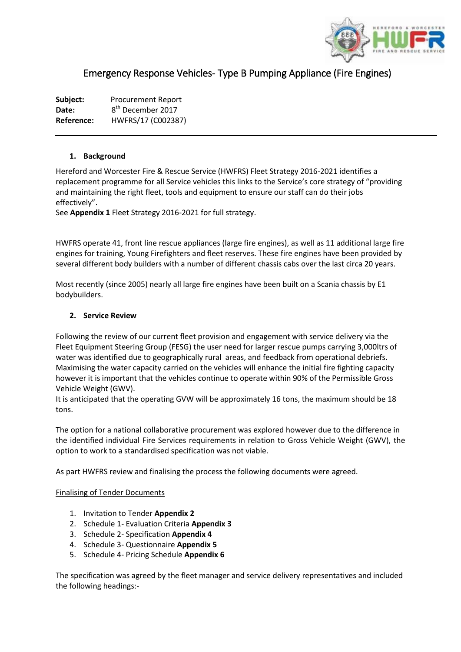

# Emergency Response Vehicles- Type B Pumping Appliance (Fire Engines)

Subject: Procurement Report Date: 8<sup>th</sup> December 2017 **Reference:** HWFRS/17 (C002387)

#### **1. Background**

Hereford and Worcester Fire & Rescue Service (HWFRS) Fleet Strategy 2016-2021 identifies a replacement programme for all Service vehicles this links to the Service's core strategy of "providing and maintaining the right fleet, tools and equipment to ensure our staff can do their jobs effectively".

See **Appendix 1** Fleet Strategy 2016-2021 for full strategy.

HWFRS operate 41, front line rescue appliances (large fire engines), as well as 11 additional large fire engines for training, Young Firefighters and fleet reserves. These fire engines have been provided by several different body builders with a number of different chassis cabs over the last circa 20 years.

Most recently (since 2005) nearly all large fire engines have been built on a Scania chassis by E1 bodybuilders.

#### **2. Service Review**

Following the review of our current fleet provision and engagement with service delivery via the Fleet Equipment Steering Group (FESG) the user need for larger rescue pumps carrying 3,000ltrs of water was identified due to geographically rural areas, and feedback from operational debriefs. Maximising the water capacity carried on the vehicles will enhance the initial fire fighting capacity however it is important that the vehicles continue to operate within 90% of the Permissible Gross Vehicle Weight (GWV).

It is anticipated that the operating GVW will be approximately 16 tons, the maximum should be 18 tons.

The option for a national collaborative procurement was explored however due to the difference in the identified individual Fire Services requirements in relation to Gross Vehicle Weight (GWV), the option to work to a standardised specification was not viable.

As part HWFRS review and finalising the process the following documents were agreed.

#### Finalising of Tender Documents

- 1. Invitation to Tender **Appendix 2**
- 2. Schedule 1- Evaluation Criteria **Appendix 3**
- 3. Schedule 2- Specification **Appendix 4**
- 4. Schedule 3- Questionnaire **Appendix 5**
- 5. Schedule 4- Pricing Schedule **Appendix 6**

The specification was agreed by the fleet manager and service delivery representatives and included the following headings:-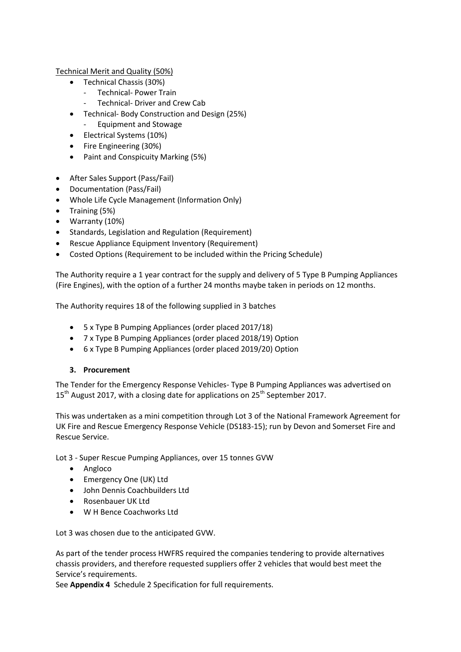Technical Merit and Quality (50%)

- Technical Chassis (30%)
	- Technical- Power Train
	- Technical- Driver and Crew Cab
- Technical- Body Construction and Design (25%)
	- Equipment and Stowage
- Electrical Systems (10%)
- Fire Engineering (30%)
- Paint and Conspicuity Marking (5%)
- After Sales Support (Pass/Fail)
- Documentation (Pass/Fail)
- Whole Life Cycle Management (Information Only)
- Training (5%)
- Warranty (10%)
- Standards, Legislation and Regulation (Requirement)
- Rescue Appliance Equipment Inventory (Requirement)
- Costed Options (Requirement to be included within the Pricing Schedule)

The Authority require a 1 year contract for the supply and delivery of 5 Type B Pumping Appliances (Fire Engines), with the option of a further 24 months maybe taken in periods on 12 months.

The Authority requires 18 of the following supplied in 3 batches

- 5 x Type B Pumping Appliances (order placed 2017/18)
- 7 x Type B Pumping Appliances (order placed 2018/19) Option
- 6 x Type B Pumping Appliances (order placed 2019/20) Option

## **3. Procurement**

The Tender for the Emergency Response Vehicles- Type B Pumping Appliances was advertised on  $15<sup>th</sup>$  August 2017, with a closing date for applications on 25<sup>th</sup> September 2017.

This was undertaken as a mini competition through Lot 3 of the National Framework Agreement for UK Fire and Rescue Emergency Response Vehicle (DS183-15); run by Devon and Somerset Fire and Rescue Service.

Lot 3 - Super Rescue Pumping Appliances, over 15 tonnes GVW

- Angloco
- Emergency One (UK) Ltd
- John Dennis Coachbuilders Ltd
- Rosenbauer UK Ltd
- W H Bence Coachworks Ltd

Lot 3 was chosen due to the anticipated GVW.

As part of the tender process HWFRS required the companies tendering to provide alternatives chassis providers, and therefore requested suppliers offer 2 vehicles that would best meet the Service's requirements.

See **Appendix 4** Schedule 2 Specification for full requirements.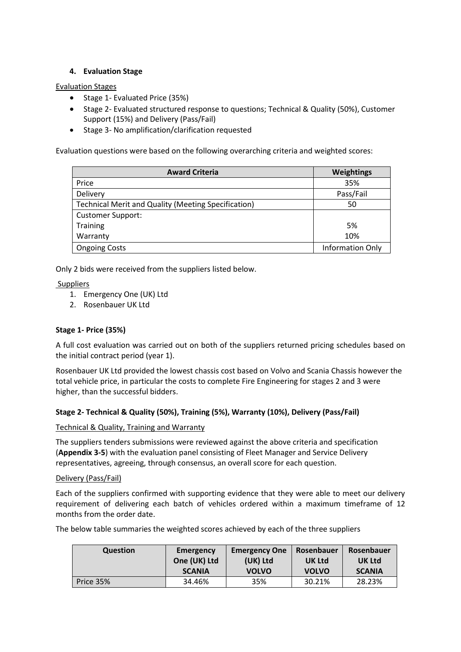## **4. Evaluation Stage**

#### Evaluation Stages

- Stage 1- Evaluated Price (35%)
- Stage 2- Evaluated structured response to questions; Technical & Quality (50%), Customer Support (15%) and Delivery (Pass/Fail)
- Stage 3- No amplification/clarification requested

Evaluation questions were based on the following overarching criteria and weighted scores:

| <b>Award Criteria</b>                                      | Weightings       |
|------------------------------------------------------------|------------------|
| Price                                                      | 35%              |
| Delivery                                                   | Pass/Fail        |
| <b>Technical Merit and Quality (Meeting Specification)</b> | 50               |
| <b>Customer Support:</b>                                   |                  |
| <b>Training</b>                                            | 5%               |
| Warranty                                                   | 10%              |
| <b>Ongoing Costs</b>                                       | Information Only |

Only 2 bids were received from the suppliers listed below.

Suppliers

- 1. Emergency One (UK) Ltd
- 2. Rosenbauer UK Ltd

## **Stage 1- Price (35%)**

A full cost evaluation was carried out on both of the suppliers returned pricing schedules based on the initial contract period (year 1).

Rosenbauer UK Ltd provided the lowest chassis cost based on Volvo and Scania Chassis however the total vehicle price, in particular the costs to complete Fire Engineering for stages 2 and 3 were higher, than the successful bidders.

## **Stage 2- Technical & Quality (50%), Training (5%), Warranty (10%), Delivery (Pass/Fail)**

Technical & Quality, Training and Warranty

The suppliers tenders submissions were reviewed against the above criteria and specification (**Appendix 3-5**) with the evaluation panel consisting of Fleet Manager and Service Delivery representatives, agreeing, through consensus, an overall score for each question.

#### Delivery (Pass/Fail)

Each of the suppliers confirmed with supporting evidence that they were able to meet our delivery requirement of delivering each batch of vehicles ordered within a maximum timeframe of 12 months from the order date.

The below table summaries the weighted scores achieved by each of the three suppliers

| <b>Question</b> | Emergency     | <b>Emergency One</b> | Rosenbauer   | Rosenbauer    |
|-----------------|---------------|----------------------|--------------|---------------|
|                 | One (UK) Ltd  | (UK) Ltd             | UK Ltd       | UK Ltd        |
|                 | <b>SCANIA</b> | <b>VOLVO</b>         | <b>VOLVO</b> | <b>SCANIA</b> |
| Price 35%       | 34.46%        | 35%                  | 30.21%       | 28.23%        |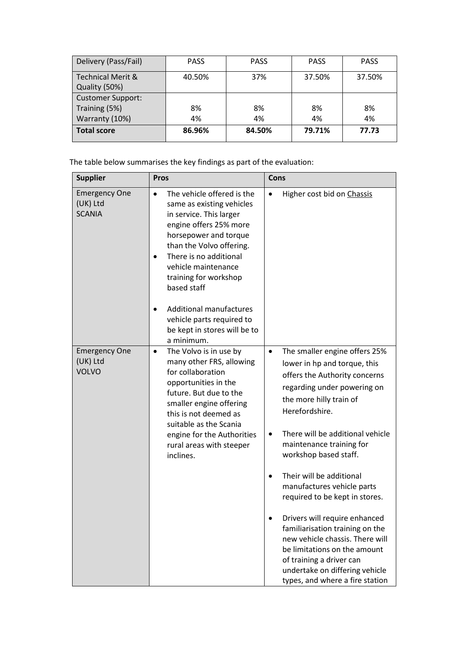| Delivery (Pass/Fail)                          | <b>PASS</b> | <b>PASS</b> | <b>PASS</b> | <b>PASS</b> |
|-----------------------------------------------|-------------|-------------|-------------|-------------|
| <b>Technical Merit &amp;</b><br>Quality (50%) | 40.50%      | 37%         | 37.50%      | 37.50%      |
| <b>Customer Support:</b>                      |             |             |             |             |
| Training (5%)                                 | 8%          | 8%          | 8%          | 8%          |
| Warranty (10%)                                | 4%          | 4%          | 4%          | 4%          |
| <b>Total score</b>                            | 86.96%      | 84.50%      | 79.71%      | 77.73       |

The table below summarises the key findings as part of the evaluation:

| <b>Supplier</b>                                   | <b>Pros</b>                                                                                                                                                                                                                                                                                                                            | Cons                                                                                                                                                                                                                                                                                                                                                                                                                                                                                                                                                                                           |
|---------------------------------------------------|----------------------------------------------------------------------------------------------------------------------------------------------------------------------------------------------------------------------------------------------------------------------------------------------------------------------------------------|------------------------------------------------------------------------------------------------------------------------------------------------------------------------------------------------------------------------------------------------------------------------------------------------------------------------------------------------------------------------------------------------------------------------------------------------------------------------------------------------------------------------------------------------------------------------------------------------|
| <b>Emergency One</b><br>(UK) Ltd<br><b>SCANIA</b> | The vehicle offered is the<br>$\bullet$<br>same as existing vehicles<br>in service. This larger<br>engine offers 25% more<br>horsepower and torque<br>than the Volvo offering.<br>There is no additional<br>vehicle maintenance<br>training for workshop<br>based staff<br><b>Additional manufactures</b><br>vehicle parts required to | Higher cost bid on Chassis<br>$\bullet$                                                                                                                                                                                                                                                                                                                                                                                                                                                                                                                                                        |
|                                                   | be kept in stores will be to<br>a minimum.                                                                                                                                                                                                                                                                                             |                                                                                                                                                                                                                                                                                                                                                                                                                                                                                                                                                                                                |
| <b>Emergency One</b><br>(UK) Ltd<br><b>VOLVO</b>  | The Volvo is in use by<br>$\bullet$<br>many other FRS, allowing<br>for collaboration<br>opportunities in the<br>future. But due to the<br>smaller engine offering<br>this is not deemed as<br>suitable as the Scania<br>engine for the Authorities<br>rural areas with steeper<br>inclines.                                            | The smaller engine offers 25%<br>$\bullet$<br>lower in hp and torque, this<br>offers the Authority concerns<br>regarding under powering on<br>the more hilly train of<br>Herefordshire.<br>There will be additional vehicle<br>$\bullet$<br>maintenance training for<br>workshop based staff.<br>Their will be additional<br>manufactures vehicle parts<br>required to be kept in stores.<br>Drivers will require enhanced<br>familiarisation training on the<br>new vehicle chassis. There will<br>be limitations on the amount<br>of training a driver can<br>undertake on differing vehicle |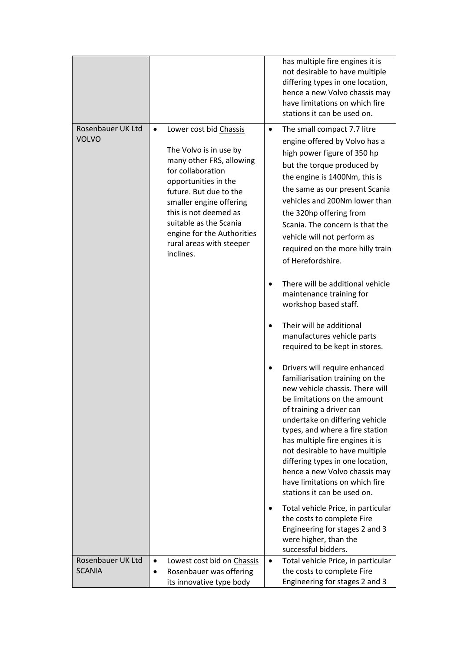| Rosenbauer UK Ltd<br>Lower cost bid Chassis<br>The small compact 7.7 litre<br>$\bullet$<br>$\bullet$<br><b>VOLVO</b><br>engine offered by Volvo has a<br>The Volvo is in use by<br>high power figure of 350 hp<br>many other FRS, allowing<br>but the torque produced by<br>for collaboration<br>the engine is 1400Nm, this is<br>opportunities in the<br>the same as our present Scania<br>future. But due to the<br>vehicles and 200Nm lower than<br>smaller engine offering<br>this is not deemed as<br>the 320hp offering from<br>suitable as the Scania<br>Scania. The concern is that the<br>engine for the Authorities<br>vehicle will not perform as<br>rural areas with steeper<br>required on the more hilly train<br>inclines.<br>of Herefordshire.<br>There will be additional vehicle<br>maintenance training for<br>workshop based staff.<br>Their will be additional<br>manufactures vehicle parts<br>required to be kept in stores.<br>Drivers will require enhanced<br>familiarisation training on the<br>new vehicle chassis. There will<br>be limitations on the amount<br>of training a driver can<br>undertake on differing vehicle<br>types, and where a fire station<br>has multiple fire engines it is<br>not desirable to have multiple<br>differing types in one location,<br>hence a new Volvo chassis may<br>have limitations on which fire<br>stations it can be used on.<br>Total vehicle Price, in particular<br>٠<br>the costs to complete Fire<br>Engineering for stages 2 and 3<br>were higher, than the |  | has multiple fire engines it is<br>not desirable to have multiple<br>differing types in one location,<br>hence a new Volvo chassis may<br>have limitations on which fire<br>stations it can be used on. |
|--------------------------------------------------------------------------------------------------------------------------------------------------------------------------------------------------------------------------------------------------------------------------------------------------------------------------------------------------------------------------------------------------------------------------------------------------------------------------------------------------------------------------------------------------------------------------------------------------------------------------------------------------------------------------------------------------------------------------------------------------------------------------------------------------------------------------------------------------------------------------------------------------------------------------------------------------------------------------------------------------------------------------------------------------------------------------------------------------------------------------------------------------------------------------------------------------------------------------------------------------------------------------------------------------------------------------------------------------------------------------------------------------------------------------------------------------------------------------------------------------------------------------------------------|--|---------------------------------------------------------------------------------------------------------------------------------------------------------------------------------------------------------|
|                                                                                                                                                                                                                                                                                                                                                                                                                                                                                                                                                                                                                                                                                                                                                                                                                                                                                                                                                                                                                                                                                                                                                                                                                                                                                                                                                                                                                                                                                                                                            |  |                                                                                                                                                                                                         |
|                                                                                                                                                                                                                                                                                                                                                                                                                                                                                                                                                                                                                                                                                                                                                                                                                                                                                                                                                                                                                                                                                                                                                                                                                                                                                                                                                                                                                                                                                                                                            |  |                                                                                                                                                                                                         |
|                                                                                                                                                                                                                                                                                                                                                                                                                                                                                                                                                                                                                                                                                                                                                                                                                                                                                                                                                                                                                                                                                                                                                                                                                                                                                                                                                                                                                                                                                                                                            |  |                                                                                                                                                                                                         |
| successful bidders.                                                                                                                                                                                                                                                                                                                                                                                                                                                                                                                                                                                                                                                                                                                                                                                                                                                                                                                                                                                                                                                                                                                                                                                                                                                                                                                                                                                                                                                                                                                        |  |                                                                                                                                                                                                         |
| Rosenbauer UK Ltd<br>Total vehicle Price, in particular<br>Lowest cost bid on Chassis<br>$\bullet$<br>$\bullet$<br><b>SCANIA</b><br>the costs to complete Fire<br>Rosenbauer was offering<br>Engineering for stages 2 and 3<br>its innovative type body                                                                                                                                                                                                                                                                                                                                                                                                                                                                                                                                                                                                                                                                                                                                                                                                                                                                                                                                                                                                                                                                                                                                                                                                                                                                                    |  |                                                                                                                                                                                                         |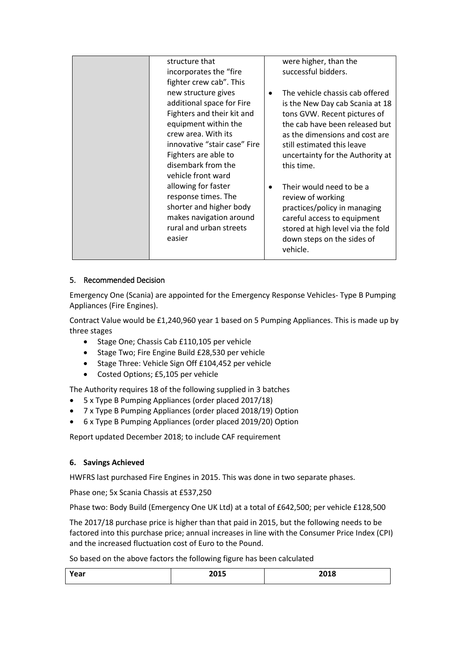| structure that                                                                                                                        | were higher, than the                                                                                                                                                                                    |
|---------------------------------------------------------------------------------------------------------------------------------------|----------------------------------------------------------------------------------------------------------------------------------------------------------------------------------------------------------|
| incorporates the "fire                                                                                                                | successful bidders.                                                                                                                                                                                      |
| fighter crew cab". This                                                                                                               |                                                                                                                                                                                                          |
| new structure gives<br>additional space for Fire<br>Fighters and their kit and<br>equipment within the                                | The vehicle chassis cab offered<br>$\bullet$<br>is the New Day cab Scania at 18<br>tons GVW. Recent pictures of<br>the cab have been released but                                                        |
| crew area. With its<br>innovative "stair case" Fire<br>Fighters are able to<br>disembark from the<br>vehicle front ward               | as the dimensions and cost are<br>still estimated this leave<br>uncertainty for the Authority at<br>this time.                                                                                           |
| allowing for faster<br>response times. The<br>shorter and higher body<br>makes navigation around<br>rural and urban streets<br>easier | Their would need to be a<br>$\bullet$<br>review of working<br>practices/policy in managing<br>careful access to equipment<br>stored at high level via the fold<br>down steps on the sides of<br>vehicle. |

## 5. Recommended Decision

Emergency One (Scania) are appointed for the Emergency Response Vehicles- Type B Pumping Appliances (Fire Engines).

Contract Value would be £1,240,960 year 1 based on 5 Pumping Appliances. This is made up by three stages

- Stage One; Chassis Cab £110,105 per vehicle
- Stage Two; Fire Engine Build £28,530 per vehicle
- Stage Three: Vehicle Sign Off £104,452 per vehicle
- Costed Options; £5,105 per vehicle

The Authority requires 18 of the following supplied in 3 batches

- 5 x Type B Pumping Appliances (order placed 2017/18)
- 7 x Type B Pumping Appliances (order placed 2018/19) Option
- 6 x Type B Pumping Appliances (order placed 2019/20) Option

Report updated December 2018; to include CAF requirement

## **6. Savings Achieved**

HWFRS last purchased Fire Engines in 2015. This was done in two separate phases.

Phase one; 5x Scania Chassis at £537,250

Phase two: Body Build (Emergency One UK Ltd) at a total of £642,500; per vehicle £128,500

The 2017/18 purchase price is higher than that paid in 2015, but the following needs to be factored into this purchase price; annual increases in line with the Consumer Price Index (CPI) and the increased fluctuation cost of Euro to the Pound.

So based on the above factors the following figure has been calculated

| Year | 2015 | 2018 |
|------|------|------|
|      |      |      |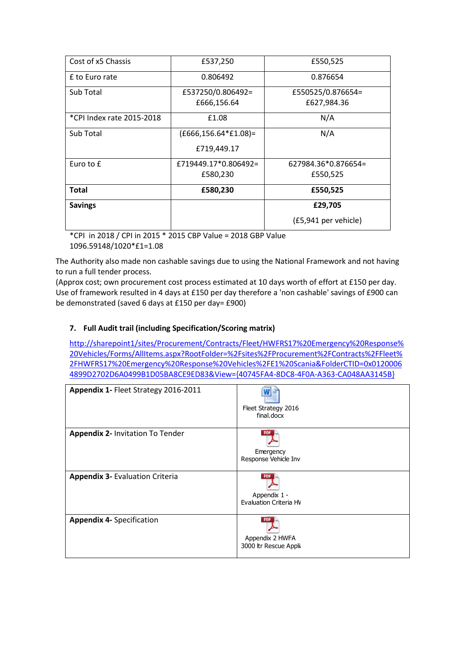| Cost of x5 Chassis        | £537,250                | £550,525             |
|---------------------------|-------------------------|----------------------|
| f to Euro rate            | 0.806492                | 0.876654             |
| Sub Total                 | £537250/0.806492=       | £550525/0.876654=    |
|                           | £666,156.64             | £627,984.36          |
| *CPI Index rate 2015-2018 | £1.08                   | N/A                  |
| Sub Total                 | $(E666, 156.64*E1.08)=$ | N/A                  |
|                           | £719,449.17             |                      |
| Euro to £                 | £719449.17*0.806492=    | 627984.36*0.876654=  |
|                           | £580,230                | £550,525             |
| Total                     | £580,230                | £550,525             |
| <b>Savings</b>            |                         | £29,705              |
|                           |                         | (£5,941 per vehicle) |

\*CPI in 2018 / CPI in 2015 \* 2015 CBP Value = 2018 GBP Value 1096.59148/1020\*£1=1.08

The Authority also made non cashable savings due to using the National Framework and not having to run a full tender process.

(Approx cost; own procurement cost process estimated at 10 days worth of effort at £150 per day. Use of framework resulted in 4 days at £150 per day therefore a 'non cashable' savings of £900 can be demonstrated (saved 6 days at £150 per day= £900)

## **7. Full Audit trail (including Specification/Scoring matrix)**

[http://sharepoint1/sites/Procurement/Contracts/Fleet/HWFRS17%20Emergency%20Response%](http://sharepoint1/sites/Procurement/Contracts/Fleet/HWFRS17%20Emergency%20Response%20Vehicles/Forms/AllItems.aspx?RootFolder=%2Fsites%2FProcurement%2FContracts%2FFleet%2FHWFRS17%20Emergency%20Response%20Vehicles%2FE1%20Scania&FolderCTID=0x01200064899D2702D6A0499B1D05BA8CE9ED83&View=%7b40745FA4-8DC8-4F0A-A363-CA048AA3145B%7d) [20Vehicles/Forms/AllItems.aspx?RootFolder=%2Fsites%2FProcurement%2FContracts%2FFleet%](http://sharepoint1/sites/Procurement/Contracts/Fleet/HWFRS17%20Emergency%20Response%20Vehicles/Forms/AllItems.aspx?RootFolder=%2Fsites%2FProcurement%2FContracts%2FFleet%2FHWFRS17%20Emergency%20Response%20Vehicles%2FE1%20Scania&FolderCTID=0x01200064899D2702D6A0499B1D05BA8CE9ED83&View=%7b40745FA4-8DC8-4F0A-A363-CA048AA3145B%7d) [2FHWFRS17%20Emergency%20Response%20Vehicles%2FE1%20Scania&FolderCTID=0x0120006](http://sharepoint1/sites/Procurement/Contracts/Fleet/HWFRS17%20Emergency%20Response%20Vehicles/Forms/AllItems.aspx?RootFolder=%2Fsites%2FProcurement%2FContracts%2FFleet%2FHWFRS17%20Emergency%20Response%20Vehicles%2FE1%20Scania&FolderCTID=0x01200064899D2702D6A0499B1D05BA8CE9ED83&View=%7b40745FA4-8DC8-4F0A-A363-CA048AA3145B%7d) [4899D2702D6A0499B1D05BA8CE9ED83&View={40745FA4-8DC8-4F0A-A363-CA048AA3145B}](http://sharepoint1/sites/Procurement/Contracts/Fleet/HWFRS17%20Emergency%20Response%20Vehicles/Forms/AllItems.aspx?RootFolder=%2Fsites%2FProcurement%2FContracts%2FFleet%2FHWFRS17%20Emergency%20Response%20Vehicles%2FE1%20Scania&FolderCTID=0x01200064899D2702D6A0499B1D05BA8CE9ED83&View=%7b40745FA4-8DC8-4F0A-A363-CA048AA3145B%7d)

| Appendix 1- Fleet Strategy 2016-2011    | Fleet Strategy 2016<br>final.docx        |
|-----------------------------------------|------------------------------------------|
| <b>Appendix 2- Invitation To Tender</b> | Emergency<br>Response Vehicle Inv        |
| <b>Appendix 3- Evaluation Criteria</b>  | Appendix 1 -<br>Evaluation Criteria HV   |
| <b>Appendix 4- Specification</b>        | Appendix 2 HWFA<br>3000 ltr Rescue Appli |